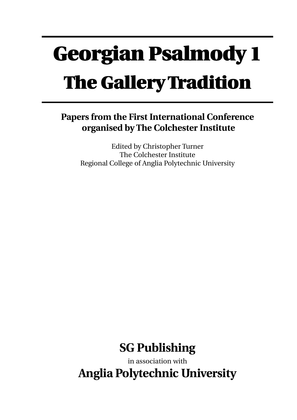# **Georgian Psalmody 1 The Gallery Tradition**

## **Papers from the First International Conference organised by The Colchester Institute**

Edited by Christopher Turner The Colchester Institute Regional College of Anglia Polytechnic University



in association with **Anglia Polytechnic University**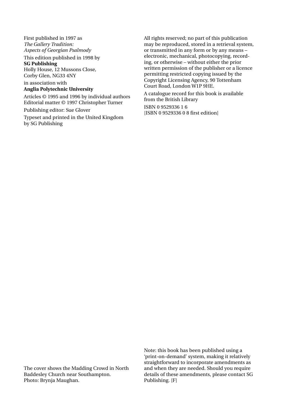First published in 1997 as *The Gallery Tradition: Aspects of Georgian Psalmody*

This edition published in 1998 by

**SG Publishing** Holly House, 12 Mussons Close, Corby Glen, NG33 4NY

in association with **Anglia Polytechnic University**

Articles © 1995 and 1996 by individual authors Editorial matter © 1997 Christopher Turner

Publishing editor: Sue Glover

Typeset and printed in the United Kingdom by SG Publishing

All rights reserved; no part of this publication may be reproduced, stored in a retrieval system, or transmitted in any form or by any means – electronic, mechanical, photocopying, recording, or otherwise – without either the prior written permission of the publisher or a licence permitting restricted copying issued by the Copyright Licensing Agency, 90 Tottenham Court Road, London W1P 9HE.

A catalogue record for this book is available from the British Library

ISBN 0 9529336 1 6 [ISBN 0 9529336 0 8 first edition]

The cover shows the Madding Crowd in North Baddesley Church near Southampton. Photo: Brynja Maughan.

Note: this book has been published using a 'print-on-demand' system, making it relatively straightforward to incorporate amendments as and when they are needed. Should you require details of these amendments, please contact SG Publishing. [F]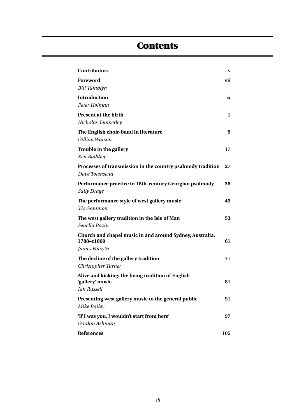## **Contents**

| <b>Contributors</b>                                                    | V   |
|------------------------------------------------------------------------|-----|
| <b>Foreword</b>                                                        | vii |
| <b>Bill Tamblyn</b>                                                    |     |
| <b>Introduction</b>                                                    | ix  |
| Peter Holman                                                           |     |
| Present at the birth                                                   | 1   |
| Nicholas Temperley                                                     |     |
| The English choir-band in literature                                   | 9   |
| Gillian Warson                                                         |     |
| Trouble in the gallery                                                 | 17  |
| Ken Baddley                                                            |     |
| Processes of transmission in the country psalmody tradition            | 27  |
| Dave Townsend                                                          |     |
| Performance practice in 18th-century Georgian psalmody                 | 35  |
| <b>Sally Drage</b>                                                     |     |
| The performance style of west gallery music                            | 43  |
| Vic Gammon                                                             |     |
| The west gallery tradition in the Isle of Man                          | 53  |
| Fenella Bazin                                                          |     |
| Church and chapel music in and around Sydney, Australia,<br>1788-c1860 | 61  |
| James Forsyth                                                          |     |
| The decline of the gallery tradition                                   | 71  |
| Christopher Turner                                                     |     |
| Alive and kicking: the living tradition of English                     |     |
| 'gallery' music                                                        | 81  |
| Ian Russell                                                            |     |
| Presenting west gallery music to the general public<br>Mike Bailey     | 91  |
| 'If I was you, I wouldn't start from here'                             | 97  |
| Gordon Ashman                                                          |     |
| <b>References</b>                                                      | 105 |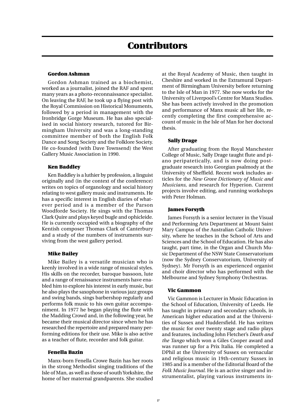#### **Gordon Ashman**

Gordon Ashman trained as a biochemist, worked as a journalist, joined the RAF and spent many years as a photo-reconnaissance specialist. On leaving the RAF, he took up a flying post with the Royal Commission on Historical Monuments, followed by a period in management with the Ironbridge Gorge Museum. He has also specialised in social history research, tutored for Birmingham University and was a long-standing committee member of both the English Folk Dance and Song Society and the Folklore Society. He co-founded (with Dave Townsend) the West Gallery Music Association in 1990.

#### **Ken Baddley**

Ken Baddley is a luthier by profession, a linguist originally and (in the context of the conference) writes on topics of organology and social history relating to west gallery music and instruments. He has a specific interest in English diaries of whatever period and is a member of the Parson Woodforde Society. He sings with the Thomas Clark Quire and plays keyed bugle and ophicleide. He is currently occupied with a biography of the Kentish composer Thomas Clark of Canterbury and a study of the numbers of instruments surviving from the west gallery period.

#### **Mike Bailey**

Mike Bailey is a versatile musician who is keenly involved in a wide range of musical styles. His skills on the recorder, baroque bassoon, lute and a range of renaissance instruments have enabled him to explore his interest in early music, but he also plays the saxophone in various jazz groups and swing bands, sings barbershop regularly and performs folk music to his own guitar accompaniment. In 1977 he began playing the flute with the Madding Crowd and, in the following year, he became their musical director since when he has researched the repertoire and prepared many performing editions for their use. Mike is also active as a teacher of flute, recorder and folk guitar.

#### **Fenella Bazin**

Manx-born Fenella Crowe Bazin has her roots in the strong Methodist singing traditions of the Isle of Man, as well as those of south Yorkshire, the home of her maternal grandparents. She studied at the Royal Academy of Music, then taught in Cheshire and worked in the Extramural Department of Birmingham University before returning to the Isle of Man in 1977. She now works for the University of Liverpool's Centre for Manx Studies. She has been actively involved in the promotion and performance of Manx music all her life, recently completing the first comprehensive account of music in the Isle of Man for her doctoral thesis.

#### **Sally Drage**

After graduating from the Royal Manchester College of Music, Sally Drage taught flute and piano peripatetically, and is now doing postgraduate research into Georgian psalmody at the University of Sheffield. Recent work includes articles for the *New Grove Dictionary of Music and Musicians*, and research for Hyperion. Current projects involve editing, and running workshops with Peter Holman.

#### **James Forsyth**

James Forsyth is a senior lecturer in the Visual and Performing Arts Department at Mount Saint Mary Campus of the Australian Catholic University, where he teaches in the School of Arts and Sciences and the School of Education. He has also taught, part time, in the Organ and Church Music Department of the NSW State Conservatorium (now the Sydney Conservatorium, University of Sydney). Mr Forsyth is an experienced organist and choir director who has performed with the Melbourne and Sydney Symphony Orchestras.

#### **Vic Gammon**

Vic Gammon is Lecturer in Music Education in the School of Education, University of Leeds. He has taught in primary and secondary schools, in American higher education and at the Universities of Sussex and Huddersfield. He has written the music for over twenty stage and radio plays and features, including John Fletcher's *Death and the Tango* which won a Giles Cooper award and was runner up for a Prix Italia. He completed a DPhil at the University of Sussex on vernacular and religious music in 19th-century Sussex in 1985 and is a member of the Editorial Board of the *Folk Music Journal*. He is an active singer and instrumentalist, playing various instruments in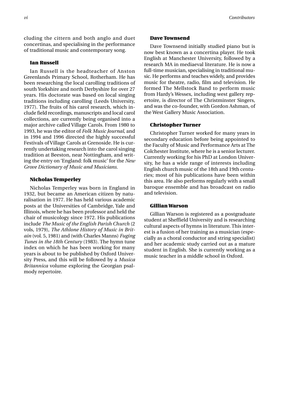cluding the cittern and both anglo and duet concertinas, and specialising in the performance of traditional music and contemporary song.

#### **Ian Russell**

Ian Russell is the headteacher of Anston Greenlands Primary School, Rotherham. He has been researching the local carolling traditions of south Yorkshire and north Derbyshire for over 27 years. His doctorate was based on local singing traditions including carolling (Leeds University, 1977). The fruits of his carol research, which include field recordings, manuscripts and local carol collections, are currently being organised into a major archive called Village Carols. From 1980 to 1993, he was the editor of *Folk Music Journal*, and in 1994 and 1996 directed the highly successful Festivals of Village Carols at Grenoside. He is currently undertaking research into the carol singing tradition at Beeston, near Nottingham, and writing the entry on 'England: folk music' for the *New Grove Dictionary of Music and Musicians*.

#### **Nicholas Temperley**

Nicholas Temperley was born in England in 1932, but became an American citizen by naturalisation in 1977. He has held various academic posts at the Universities of Cambridge, Yale and Illinois, where he has been professor and held the chair of musicology since 1972. His publications include *The Music of the English Parish Church* (2 vols, 1979), *The Athlone History of Music in Britain* (vol. 5, 1981) and (with Charles Manns) *Fuging Tunes in the 18th Century* (1983). The hymn tune index on which he has been working for many years is about to be published by Oxford University Press, and this will be followed by a *Musica Britannica* volume exploring the Georgian psalmody repertoire.

#### **Dave Townsend**

Dave Townsend initially studied piano but is now best known as a concertina player. He took English at Manchester University, followed by a research MA in mediaeval literature. He is now a full-time musician, specialising in traditional music. He performs and teaches widely, and provides music for theatre, radio, film and television. He formed The Mellstock Band to perform music from Hardy's Wessex, including west gallery repertoire, is director of The Christminster Singers, and was the co-founder, with Gordon Ashman, of the West Gallery Music Association.

#### **Christopher Turner**

Christopher Turner worked for many years in secondary education before being appointed to the Faculty of Music and Performance Arts at The Colchester Institute, where he is a senior lecturer. Currently working for his PhD at London University, he has a wide range of interests including English church music of the 18th and 19th centuries; most of his publications have been within this area. He also performs regularly with a small baroque ensemble and has broadcast on radio and television.

#### **Gillian Warson**

Gillian Warson is registered as a postgraduate student at Sheffield University and is researching cultural aspects of hymns in literature. This interest is a fusion of her training as a musician (especially as a choral conductor and string specialist) and her academic study carried out as a mature student in English. She is currently working as a music teacher in a middle school in Oxford.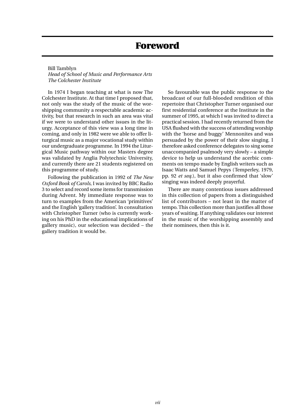### **Foreword**

Bill Tamblyn *Head of School of Music and Performance Arts The Colchester Institute*

In 1974 I began teaching at what is now The Colchester Institute. At that time I proposed that, not only was the study of the music of the worshipping community a respectable academic activity, but that research in such an area was vital if we were to understand other issues in the liturgy. Acceptance of this view was a long time in coming, and only in 1982 were we able to offer liturgical music as a major vocational study within our undergraduate programme. In 1994 the Liturgical Music pathway within our Masters degree was validated by Anglia Polytechnic University, and currently there are 21 students registered on this programme of study.

Following the publication in 1992 of *The New Oxford Book of Carols*, I was invited by BBC Radio 3 to select and record some items for transmission during Advent. My immediate response was to turn to examples from the American 'primitives' and the English 'gallery tradition'. In consultation with Christopher Turner (who is currently working on his PhD in the educational implications of gallery music), our selection was decided – the gallery tradition it would be.

So favourable was the public response to the broadcast of our full-blooded rendition of this repertoire that Christopher Turner organised our first residential conference at the Institute in the summer of 1995, at which I was invited to direct a practical session. I had recently returned from the USA flushed with the success of attending worship with the 'horse and buggy' Mennonites and was persuaded by the power of their slow singing. I therefore asked conference delegates to sing some unaccompanied psalmody very slowly – a simple device to help us understand the acerbic comments on tempo made by English writers such as Isaac Watts and Samuel Pepys (Temperley, 1979, pp. 92 *et seq.*), but it also confirmed that 'slow' singing was indeed deeply prayerful.

There are many contentious issues addressed in this collection of papers from a distinguished list of contributors – not least in the matter of tempo. This collection more than justifies all those years of waiting. If anything validates our interest in the music of the worshipping assembly and their nominees, then this is it.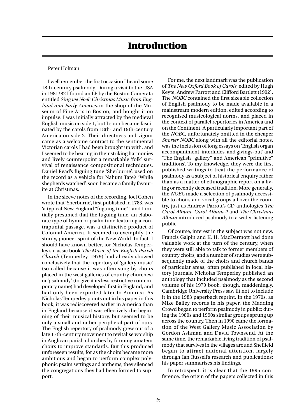#### Peter Holman

I well remember the first occasion I heard some 18th-century psalmody. During a visit to the USA in 1981/82 I found an LP by the Boston Camerata entitled *Sing we Noel: Christmas Music from England and Early America* in the shop of the Museum of Fine Arts in Boston, and bought it on impulse. I was initially attracted by the medieval English music on side 1, but I soon became fascinated by the carols from 18th- and 19th-century America on side 2. Their directness and vigour came as a welcome contrast to the sentimental Victorian carols I had been brought up with, and I seemed to be hearing in their striking harmonies and lively counterpoint a remarkable 'folk' survival of renaissance compositional techniques. Daniel Read's fuguing tune 'Sherburne', used on the record as a vehicle for Nahum Tate's 'While shepherds watched', soon became a family favourite at Christmas.

In the sleeve notes of the recording, Joel Cohen wrote that 'Sherburne', first published in 1783, was 'a typical New England "fuguing tune"', and I initially presumed that the fuguing tune, an elaborate type of hymn or psalm tune featuring a contrapuntal passage, was a distinctive product of Colonial America. It seemed to exemplify the sturdy, pioneer spirit of the New World. In fact, I should have known better, for Nicholas Temperley's classic book *The Music of the English Parish Church* (Temperley, 1979) had already showed conclusively that the repertory of 'gallery music' (so called because it was often sung by choirs placed in the west galleries of country churches) or 'psalmody' (to give it its less restrictive contemporary name) had developed first in England, and had only been exported later to America. As Nicholas Temperley points out in his paper in this book, it was rediscovered earlier in America than in England because it was effectively the beginning of their musical history, but seemed to be only a small and rather peripheral part of ours. The English repertory of psalmody grew out of a late 17th-century movement to revitalise worship in Anglican parish churches by forming amateur choirs to improve standards. But this produced unforeseen results, for as the choirs became more ambitious and began to perform complex polyphonic psalm settings and anthems, they silenced the congregations they had been formed to support.

For me, the next landmark was the publication of *The New Oxford Book of Carols*, edited by Hugh Keyte, Andrew Parrott and Clifford Bartlett (1992). The *NOBC* contained the first sizeable collection of English psalmody to be made available in a mainstream modern edition, edited according to recognised musicological norms, and placed in the context of parallel repertories in America and on the Continent. A particularly important part of the *NOBC*, unfortunately omitted in the cheaper *Shorter NOBC* along with all the editorial notes, was the inclusion of long essays on 'English organ accompaniment, interludes, and givings-out' and 'The English "gallery" and American "primitive" traditions'. To my knowledge, they were the first published writings to treat the performance of psalmody as a subject of historical enquiry rather than as a matter of ethnographic report on a living or recently deceased tradition. More generally, the *NOBC* made a selection of psalmody accessible to choirs and vocal groups all over the country, just as Andrew Parrott's CD anthologies *The Carol Album*, *Carol Album 2* and *The Christmas Album* introduced psalmody to a wider listening public.

Of course, interest in the subject was not new. Francis Galpin and K. H. MacDermott had done valuable work at the turn of the century, when they were still able to talk to former members of country choirs, and a number of studies were subsequently made of the choirs and church bands of particular areas, often published in local history journals. Nicholas Temperley published an anthology that included psalmody as the second volume of his 1979 book, though, maddeningly, Cambridge University Press saw fit not to include it in the 1983 paperback reprint. In the 1970s, as Mike Bailey records in his paper, the Madding Crowd began to perform psalmody in public; during the 1980s and 1990s similar groups sprung up across the country. Then in 1990 came the formation of the West Gallery Music Association by Gordon Ashman and David Townsend. At the same time, the remarkable living tradition of psalmody that survives in the villages around Sheffield began to attract national attention, largely through Ian Russell's research and publications; his paper summarises his findings.

In retrospect, it is clear that the 1995 conference, the origin of the papers collected in this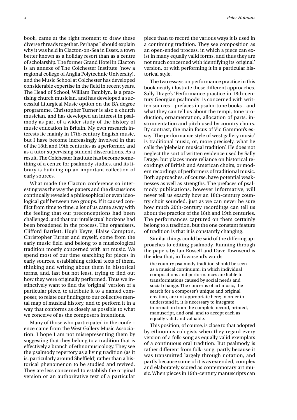book, came at the right moment to draw these diverse threads together. Perhaps I should explain why it was held in Clacton-on-Sea in Essex, a town better known as a holiday resort than as a centre of scholarship. The former Grand Hotel in Clacton is an annexe of The Colchester Institute (now a regional college of Anglia Polytechnic University), and the Music School at Colchester has developed considerable expertise in the field in recent years. The Head of School, William Tamblyn, is a practising church musician, and has developed a successful Liturgical Music option on the BA degree programme. Christopher Turner is also a church musician, and has developed an interest in psalmody as part of a wider study of the history of music education in Britain. My own research interests lie mainly in 17th-century English music, but I have become increasingly involved in that of the 18th and 19th centuries as a performer, and as a tutor supervising student dissertations. As a result, The Colchester Institute has become something of a centre for psalmody studies, and its library is building up an important collection of early sources.

What made the Clacton conference so interesting was the way the papers and the discussions continually revealed a philosophical or even ideological gulf between two groups. If it caused conflict from time to time, a lot of us came away with the feeling that our preconceptions had been challenged, and that our intellectual horizons had been broadened in the process. The organisers, Clifford Bartlett, Hugh Keyte, Blaise Compton, Christopher Turner and myself, come from the early music field and belong to a musicological tradition mostly concerned with art music. We spend most of our time searching for pieces in early sources, establishing critical texts of them, thinking and writing about them in historical terms, and, last but not least, trying to find out how they were originally performed. Thus we instinctively want to find the 'original' version of a particular piece, to attribute it to a named composer, to relate our findings to our collective mental map of musical history, and to perform it in a way that conforms as closely as possible to what we conceive of as the composer's intentions.

Many of those who participated in the conference came from the West Gallery Music Association. I hope I am not misrepresenting them by suggesting that they belong to a tradition that is effectively a branch of ethnomusicology. They see the psalmody repertory as a living tradition (as it is, particularly around Sheffield) rather than a historical phenomenon to be studied and revived. They are less concerned to establish the original version or an authoritative text of a particular

piece than to record the various ways it is used in a continuing tradition. They see composition as an open-ended process, in which a piece can exist in many equally valid forms, and thus they are not much concerned with identifying its 'original' version, or with performing it in a particular historical style.

The two essays on performance practice in this book neatly illustrate these different approaches. Sally Drage's 'Performance practice in 18th-century Georgian psalmody' is concerned with written sources – prefaces in psalm-tune books – and what they can tell us about the tempi, tone production, ornamentation, allocation of parts, instrumentation and pitch used by country choirs. By contrast, the main focus of Vic Gammon's essay 'The performance style of west gallery music' is traditional music, or, more precisely, what he calls the 'plebeian musical tradition'. He does not neglect the sort of written evidence used by Sally Drage, but places more reliance on historical recordings of British and American choirs, or modern recordings of performers of traditional music. Both approaches, of course, have potential weaknesses as well as strengths. The prefaces of psalmody publications, however informative, will never tell us exactly how an 18th-century country choir sounded, just as we can never be sure how much 20th-century recordings can tell us about the practice of the 18th and 19th centuries. The performances captured on them certainly belong to a tradition, but the one constant feature of tradition is that it is constantly changing.

Similar things could be said of the differing approaches to editing psalmody. Running through the papers by Ian Russell and Dave Townsend is the idea that, in Townsend's words:

the country psalmody tradition should be seen as a musical continuum, in which individual compositions and performances are liable to transformations caused by social needs and social change. The concerns of art music, the search for a composer's unique and original creation, are not appropriate here; in order to understand it, it is necessary to integrate information from the complete record, printed, manuscript, and oral, and to accept each as equally valid and valuable.

This position, of course, is close to that adopted by ethnomusicologists when they regard every version of a folk-song as equally valid exemplars of a continuous oral tradition. But psalmody is rather different from folk-song, partly because it was transmitted largely through notation, and partly because some of it is as extended, complex and elaborately scored as contemporary art music. When pieces in 19th-century manuscripts can